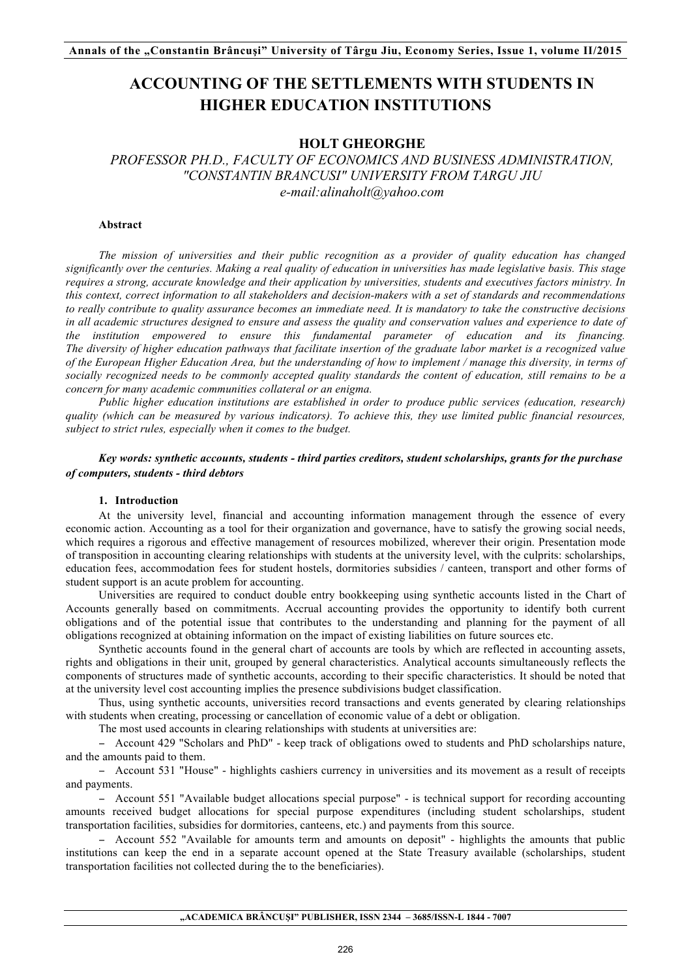# **ACCOUNTING OF THE SETTLEMENTS WITH STUDENTS IN HIGHER EDUCATION INSTITUTIONS**

## **HOLT GHEORGHE**

*PROFESSOR PH.D., FACULTY OF ECONOMICS AND BUSINESS ADMINISTRATION, "CONSTANTIN BRANCUSI" UNIVERSITY FROM TARGU JIU e-mail:alinaholt@yahoo.com*

## **Abstract**

*The mission of universities and their public recognition as a provider of quality education has changed significantly over the centuries. Making a real quality of education in universities has made legislative basis. This stage requires a strong, accurate knowledge and their application by universities, students and executives factors ministry. In this context, correct information to all stakeholders and decision-makers with a set of standards and recommendations to really contribute to quality assurance becomes an immediate need. It is mandatory to take the constructive decisions in all academic structures designed to ensure and assess the quality and conservation values and experience to date of the institution empowered to ensure this fundamental parameter of education and its financing. The diversity of higher education pathways that facilitate insertion of the graduate labor market is a recognized value of the European Higher Education Area, but the understanding of how to implement / manage this diversity, in terms of socially recognized needs to be commonly accepted quality standards the content of education, still remains to be a concern for many academic communities collateral or an enigma.*

*Public higher education institutions are established in order to produce public services (education, research) quality (which can be measured by various indicators). To achieve this, they use limited public financial resources, subject to strict rules, especially when it comes to the budget.*

# *Key words: synthetic accounts, students - third parties creditors, student scholarships, grants for the purchase of computers, students - third debtors*

#### **1. Introduction**

At the university level, financial and accounting information management through the essence of every economic action. Accounting as a tool for their organization and governance, have to satisfy the growing social needs, which requires a rigorous and effective management of resources mobilized, wherever their origin. Presentation mode of transposition in accounting clearing relationships with students at the university level, with the culprits: scholarships, education fees, accommodation fees for student hostels, dormitories subsidies / canteen, transport and other forms of student support is an acute problem for accounting.

Universities are required to conduct double entry bookkeeping using synthetic accounts listed in the Chart of Accounts generally based on commitments. Accrual accounting provides the opportunity to identify both current obligations and of the potential issue that contributes to the understanding and planning for the payment of all obligations recognized at obtaining information on the impact of existing liabilities on future sources etc.

Synthetic accounts found in the general chart of accounts are tools by which are reflected in accounting assets, rights and obligations in their unit, grouped by general characteristics. Analytical accounts simultaneously reflects the components of structures made of synthetic accounts, according to their specific characteristics. It should be noted that at the university level cost accounting implies the presence subdivisions budget classification.

Thus, using synthetic accounts, universities record transactions and events generated by clearing relationships with students when creating, processing or cancellation of economic value of a debt or obligation.

The most used accounts in clearing relationships with students at universities are:

− Account 429 "Scholars and PhD" - keep track of obligations owed to students and PhD scholarships nature, and the amounts paid to them.

− Account 531 "House" - highlights cashiers currency in universities and its movement as a result of receipts and payments.

− Account 551 "Available budget allocations special purpose" - is technical support for recording accounting amounts received budget allocations for special purpose expenditures (including student scholarships, student transportation facilities, subsidies for dormitories, canteens, etc.) and payments from this source.

− Account 552 "Available for amounts term and amounts on deposit" - highlights the amounts that public institutions can keep the end in a separate account opened at the State Treasury available (scholarships, student transportation facilities not collected during the to the beneficiaries).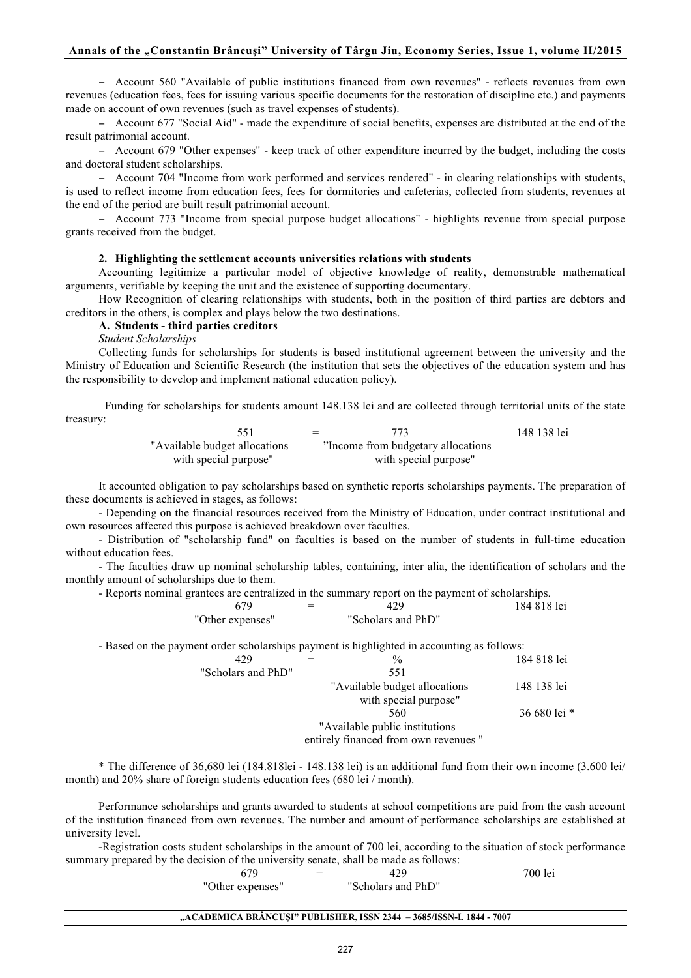# **Annals of the "Constantin Brâncuşi" University of Târgu Jiu, Economy Series, Issue 1, volume II/2015**

− Account 560 "Available of public institutions financed from own revenues" - reflects revenues from own revenues (education fees, fees for issuing various specific documents for the restoration of discipline etc.) and payments made on account of own revenues (such as travel expenses of students).

− Account 677 "Social Aid" - made the expenditure of social benefits, expenses are distributed at the end of the result patrimonial account.

− Account 679 "Other expenses" - keep track of other expenditure incurred by the budget, including the costs and doctoral student scholarships.

− Account 704 "Income from work performed and services rendered" - in clearing relationships with students, is used to reflect income from education fees, fees for dormitories and cafeterias, collected from students, revenues at the end of the period are built result patrimonial account.

− Account 773 "Income from special purpose budget allocations" - highlights revenue from special purpose grants received from the budget.

## **2. Highlighting the settlement accounts universities relations with students**

Accounting legitimize a particular model of objective knowledge of reality, demonstrable mathematical arguments, verifiable by keeping the unit and the existence of supporting documentary.

How Recognition of clearing relationships with students, both in the position of third parties are debtors and creditors in the others, is complex and plays below the two destinations.

# **A. Students - third parties creditors**

*Student Scholarships*

Collecting funds for scholarships for students is based institutional agreement between the university and the Ministry of Education and Scientific Research (the institution that sets the objectives of the education system and has the responsibility to develop and implement national education policy).

Funding for scholarships for students amount 148.138 lei and are collected through territorial units of the state treasury:

|                                | $=$ |                                     | 148 138 lei |
|--------------------------------|-----|-------------------------------------|-------------|
| "Available budget allocations" |     | "Income from budgetary allocations" |             |
| with special purpose"          |     | with special purpose"               |             |

It accounted obligation to pay scholarships based on synthetic reports scholarships payments. The preparation of these documents is achieved in stages, as follows:

- Depending on the financial resources received from the Ministry of Education, under contract institutional and own resources affected this purpose is achieved breakdown over faculties.

- Distribution of "scholarship fund" on faculties is based on the number of students in full-time education without education fees.

- The faculties draw up nominal scholarship tables, containing, inter alia, the identification of scholars and the monthly amount of scholarships due to them.

- Reports nominal grantees are centralized in the summary report on the payment of scholarships.

|                  | $\overline{\phantom{0}}$ | 429                | 184 818 lei |
|------------------|--------------------------|--------------------|-------------|
| "Other expenses" |                          | "Scholars and PhD" |             |

- Based on the payment order scholarships payment is highlighted in accounting as follows:

| 429                | $\frac{0}{0}$                         | 184 818 lei  |
|--------------------|---------------------------------------|--------------|
| "Scholars and PhD" | 551                                   |              |
|                    | "Available budget allocations"        | 148 138 lei  |
|                    | with special purpose"                 |              |
|                    | 560                                   | 36 680 lei * |
|                    | "Available public institutions"       |              |
|                    | entirely financed from own revenues " |              |

\* The difference of 36,680 lei (184.818lei - 148.138 lei) is an additional fund from their own income (3.600 lei/ month) and 20% share of foreign students education fees (680 lei / month).

Performance scholarships and grants awarded to students at school competitions are paid from the cash account of the institution financed from own revenues. The number and amount of performance scholarships are established at university level.

-Registration costs student scholarships in the amount of 700 lei, according to the situation of stock performance summary prepared by the decision of the university senate, shall be made as follows:

| 679              | 429                | 700 lei |
|------------------|--------------------|---------|
| "Other expenses" | "Scholars and PhD" |         |

### **"ACADEMICA BRÂNCUŞI" PUBLISHER, ISSN 2344 – 3685/ISSN-L 1844 - 7007**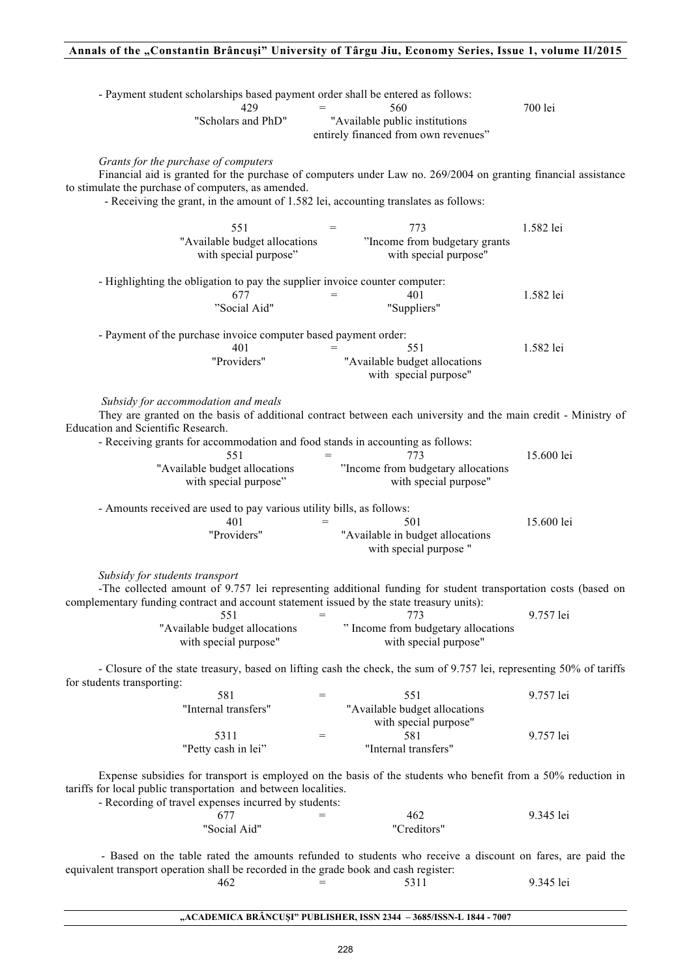# **Annals of the "Constantin Brâncuşi" University of Târgu Jiu, Economy Series, Issue 1, volume II/2015**

| - Payment student scholarships based payment order shall be entered as follows:<br>429<br>"Scholars and PhD"                                                                                                                                                                                                          | $=$        | 560<br>"Available public institutions<br>entirely financed from own revenues"              | 700 lei                |
|-----------------------------------------------------------------------------------------------------------------------------------------------------------------------------------------------------------------------------------------------------------------------------------------------------------------------|------------|--------------------------------------------------------------------------------------------|------------------------|
| Grants for the purchase of computers<br>Financial aid is granted for the purchase of computers under Law no. 269/2004 on granting financial assistance<br>to stimulate the purchase of computers, as amended.<br>- Receiving the grant, in the amount of 1.582 lei, accounting translates as follows:                 |            |                                                                                            |                        |
| 551<br>"Available budget allocations<br>with special purpose"                                                                                                                                                                                                                                                         | $=$        | 773<br>"Income from budgetary grants<br>with special purpose"                              | 1.582 lei              |
| - Highlighting the obligation to pay the supplier invoice counter computer:<br>677<br>"Social Aid"                                                                                                                                                                                                                    |            | 401<br>"Suppliers"                                                                         | 1.582 lei              |
| - Payment of the purchase invoice computer based payment order:<br>401<br>"Providers"                                                                                                                                                                                                                                 |            | 551<br>"Available budget allocations<br>with special purpose"                              | 1.582 lei              |
| Subsidy for accommodation and meals<br>They are granted on the basis of additional contract between each university and the main credit - Ministry of<br>Education and Scientific Research.<br>- Receiving grants for accommodation and food stands in accounting as follows:<br>551<br>"Available budget allocations | $=$        | 773<br>"Income from budgetary allocations                                                  | 15.600 lei             |
| with special purpose"<br>- Amounts received are used to pay various utility bills, as follows:<br>401<br>"Providers"                                                                                                                                                                                                  | $=$        | with special purpose"<br>501<br>"Available in budget allocations<br>with special purpose " | 15.600 lei             |
| Subsidy for students transport<br>-The collected amount of 9.757 lei representing additional funding for student transportation costs (based on<br>complementary funding contract and account statement issued by the state treasury units):<br>551<br>"Available budget allocations                                  | $=$        | 773<br>" Income from budgetary allocations                                                 | 9.757 lei              |
| with special purpose"<br>- Closure of the state treasury, based on lifting cash the check, the sum of 9.757 lei, representing 50% of tariffs<br>for students transporting:                                                                                                                                            |            | with special purpose"                                                                      |                        |
| 581<br>"Internal transfers"<br>5311                                                                                                                                                                                                                                                                                   | $=$<br>$=$ | 551<br>"Available budget allocations<br>with special purpose"<br>581                       | 9.757 lei<br>9.757 lei |
| "Petty cash in lei"<br>Expense subsidies for transport is employed on the basis of the students who benefit from a 50% reduction in<br>tariffs for local public transportation and between localities.<br>- Recording of travel expenses incurred by students:<br>677                                                 |            | "Internal transfers"<br>462                                                                | 9.345 lei              |
| "Social Aid"<br>- Based on the table rated the amounts refunded to students who receive a discount on fares, are paid the<br>equivalent transport operation shall be recorded in the grade book and cash register:<br>462                                                                                             |            | "Creditors"<br>5311                                                                        | 9.345 lei              |

# **"ACADEMICA BRÂNCUŞI" PUBLISHER, ISSN 2344 – 3685/ISSN-L 1844 - 7007**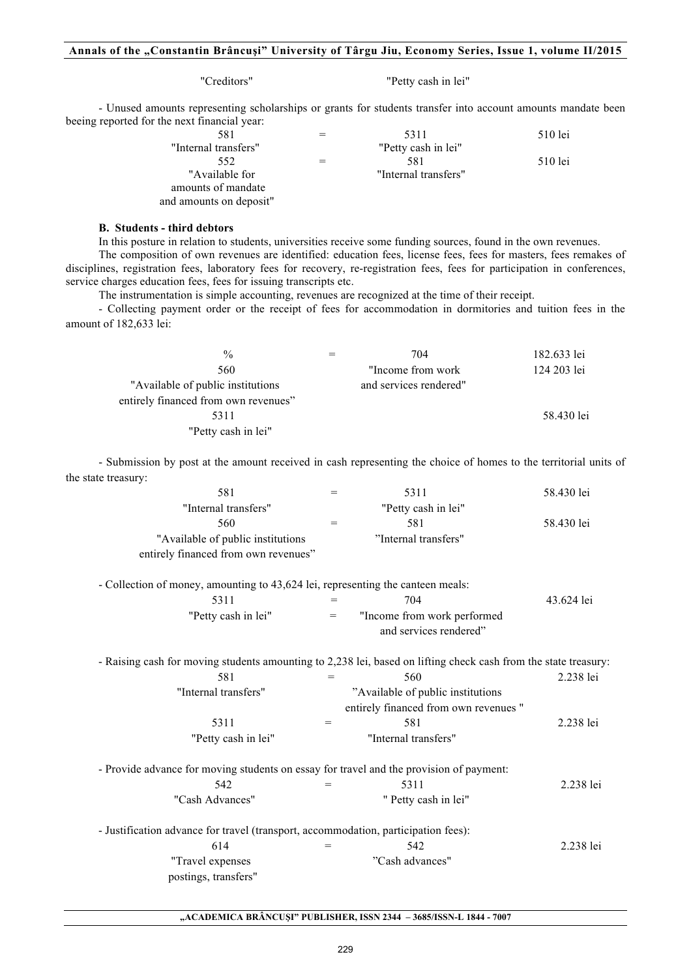# **Annals of the "Constantin Brâncuşi" University of Târgu Jiu, Economy Series, Issue 1, volume II/2015**

"Creditors" "Petty cash in lei"

- Unused amounts representing scholarships or grants for students transfer into account amounts mandate been beeing reported for the next financial year:

| 581                     | 5311                 | 510 lei |
|-------------------------|----------------------|---------|
| "Internal transfers"    | "Petty cash in lei"  |         |
| 552                     | 581                  | 510 lei |
| "Available for          | "Internal transfers" |         |
| amounts of mandate      |                      |         |
| and amounts on deposit" |                      |         |

## **B. Students - third debtors**

In this posture in relation to students, universities receive some funding sources, found in the own revenues.

The composition of own revenues are identified: education fees, license fees, fees for masters, fees remakes of disciplines, registration fees, laboratory fees for recovery, re-registration fees, fees for participation in conferences, service charges education fees, fees for issuing transcripts etc.

The instrumentation is simple accounting, revenues are recognized at the time of their receipt.

- Collecting payment order or the receipt of fees for accommodation in dormitories and tuition fees in the amount of 182,633 lei:

| $\frac{0}{0}$                        | 704                    | 182.633 lei |
|--------------------------------------|------------------------|-------------|
| 560                                  | "Income from work"     | 124 203 lei |
| "Available of public institutions"   | and services rendered" |             |
| entirely financed from own revenues" |                        |             |
| 5311                                 |                        | 58.430 lei  |
| "Petty cash in lei"                  |                        |             |

- Submission by post at the amount received in cash representing the choice of homes to the territorial units of the state treasury:

| 581                                                                                                             | $=$ | 5311                                  | 58.430 lei |
|-----------------------------------------------------------------------------------------------------------------|-----|---------------------------------------|------------|
| "Internal transfers"                                                                                            |     | "Petty cash in lei"                   |            |
| 560                                                                                                             | $=$ | 581                                   | 58.430 lei |
| "Available of public institutions                                                                               |     | "Internal transfers"                  |            |
| entirely financed from own revenues"                                                                            |     |                                       |            |
| - Collection of money, amounting to 43,624 lei, representing the canteen meals:                                 |     |                                       |            |
| 5311                                                                                                            |     | 704                                   | 43.624 lei |
| "Petty cash in lei"                                                                                             | $=$ | "Income from work performed           |            |
|                                                                                                                 |     | and services rendered"                |            |
| - Raising cash for moving students amounting to 2,238 lei, based on lifting check cash from the state treasury: |     |                                       |            |
| 581                                                                                                             | $=$ | 560                                   | 2.238 lei  |
| "Internal transfers"                                                                                            |     | "Available of public institutions     |            |
|                                                                                                                 |     | entirely financed from own revenues " |            |
| 5311                                                                                                            | $=$ | 581                                   | 2.238 lei  |
| "Petty cash in lei"                                                                                             |     | "Internal transfers"                  |            |
| - Provide advance for moving students on essay for travel and the provision of payment:                         |     |                                       |            |
| 542                                                                                                             |     | 5311                                  | 2.238 lei  |
| "Cash Advances"                                                                                                 |     | " Petty cash in lei"                  |            |
| - Justification advance for travel (transport, accommodation, participation fees):                              |     |                                       |            |
| 614                                                                                                             | $=$ | 542                                   | 2.238 lei  |
| "Travel expenses                                                                                                |     | "Cash advances"                       |            |
| postings, transfers"                                                                                            |     |                                       |            |
|                                                                                                                 |     |                                       |            |

## **"ACADEMICA BRÂNCUŞI" PUBLISHER, ISSN 2344 – 3685/ISSN-L 1844 - 7007**